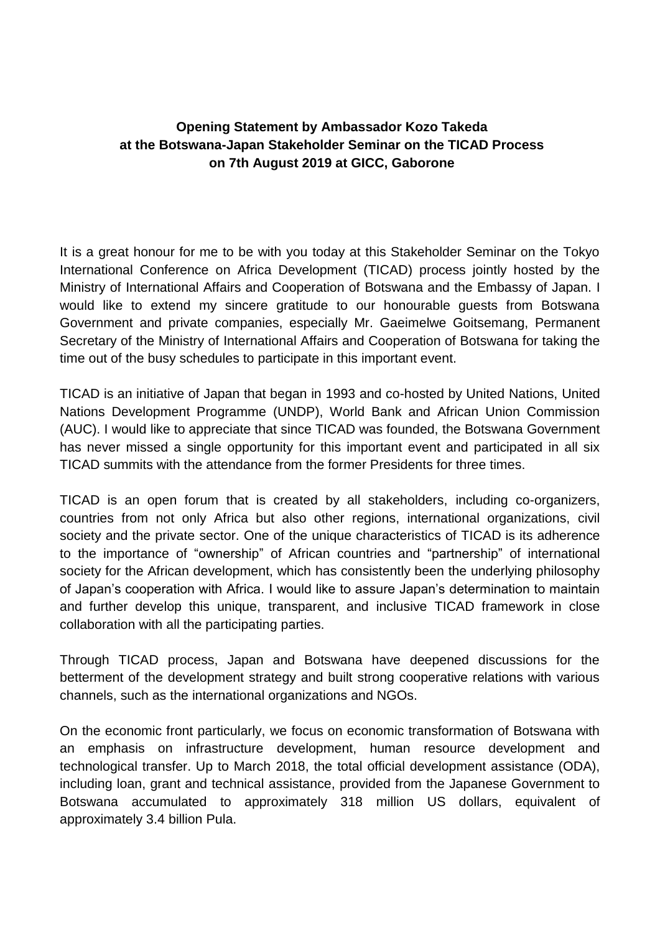## **Opening Statement by Ambassador Kozo Takeda at the Botswana-Japan Stakeholder Seminar on the TICAD Process on 7th August 2019 at GICC, Gaborone**

It is a great honour for me to be with you today at this Stakeholder Seminar on the Tokyo International Conference on Africa Development (TICAD) process jointly hosted by the Ministry of International Affairs and Cooperation of Botswana and the Embassy of Japan. I would like to extend my sincere gratitude to our honourable guests from Botswana Government and private companies, especially Mr. Gaeimelwe Goitsemang, Permanent Secretary of the Ministry of International Affairs and Cooperation of Botswana for taking the time out of the busy schedules to participate in this important event.

TICAD is an initiative of Japan that began in 1993 and co-hosted by United Nations, United Nations Development Programme (UNDP), World Bank and African Union Commission (AUC). I would like to appreciate that since TICAD was founded, the Botswana Government has never missed a single opportunity for this important event and participated in all six TICAD summits with the attendance from the former Presidents for three times.

TICAD is an open forum that is created by all stakeholders, including co-organizers, countries from not only Africa but also other regions, international organizations, civil society and the private sector. One of the unique characteristics of TICAD is its adherence to the importance of "ownership" of African countries and "partnership" of international society for the African development, which has consistently been the underlying philosophy of Japan's cooperation with Africa. I would like to assure Japan's determination to maintain and further develop this unique, transparent, and inclusive TICAD framework in close collaboration with all the participating parties.

Through TICAD process, Japan and Botswana have deepened discussions for the betterment of the development strategy and built strong cooperative relations with various channels, such as the international organizations and NGOs.

On the economic front particularly, we focus on economic transformation of Botswana with an emphasis on infrastructure development, human resource development and technological transfer. Up to March 2018, the total official development assistance (ODA), including loan, grant and technical assistance, provided from the Japanese Government to Botswana accumulated to approximately 318 million US dollars, equivalent of approximately 3.4 billion Pula.